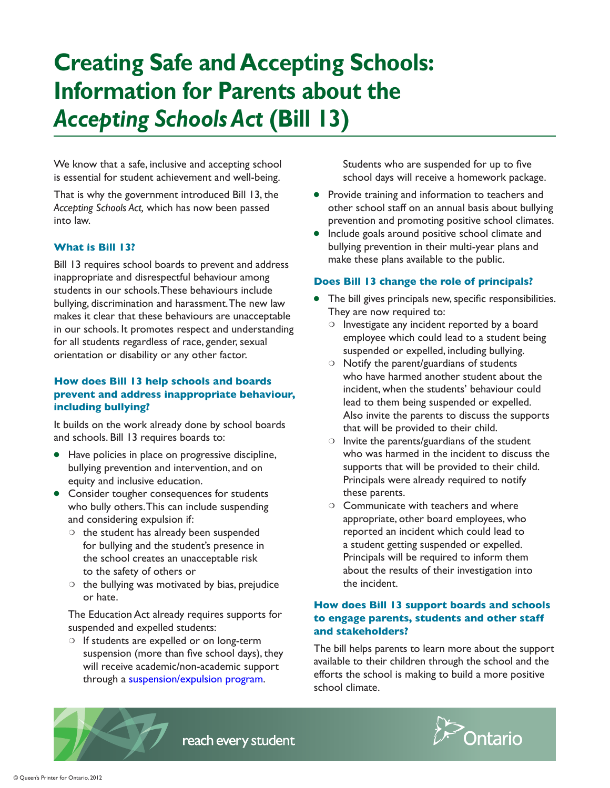# **Creating Safe and Accepting Schools: Information for Parents about the**  *Accepting Schools Act* **(Bill 13)**

We know that a safe, inclusive and accepting school is essential for student achievement and well-being.

That is why the government introduced Bill 13, the *Accepting Schools Act,* which has now been passed into law.

#### **What is Bill 13?**

Bill 13 requires school boards to prevent and address inappropriate and disrespectful behaviour among students in our schools. These behaviours include bullying, discrimination and harassment. The new law makes it clear that these behaviours are unacceptable in our schools. It promotes respect and understanding for all students regardless of race, gender, sexual orientation or disability or any other factor.

### **How does Bill 13 help schools and boards prevent and address inappropriate behaviour, including bullying?**

It builds on the work already done by school boards and schools. Bill 13 requires boards to:

- Have policies in place on progressive discipline, bullying prevention and intervention, and on equity and inclusive education.
- Consider tougher consequences for students who bully others. This can include suspending and considering expulsion if:
	- ❍ the student has already been suspended for bullying and the student's presence in the school creates an unacceptable risk to the safety of others or
	- $\circ$  the bullying was motivated by bias, prejudice or hate.

The Education Act already requires supports for suspended and expelled students:

❍ If students are expelled or on long-term suspension (more than five school days), they will receive academic/non-academic support through a [suspension/expulsion program](http://www.edu.gov.on.ca/eng/safeschools/suspexp.html).

Students who are suspended for up to five school days will receive a homework package.

- Provide training and information to teachers and other school staff on an annual basis about bullying prevention and promoting positive school climates.
- Include goals around positive school climate and bullying prevention in their multi-year plans and make these plans available to the public.

## **Does Bill 13 change the role of principals?**

- The bill gives principals new, specific responsibilities. They are now required to:
	- ❍ Investigate any incident reported by a board employee which could lead to a student being suspended or expelled, including bullying.
	- ❍ Notify the parent/guardians of students who have harmed another student about the incident, when the students' behaviour could lead to them being suspended or expelled. Also invite the parents to discuss the supports that will be provided to their child.
	- $\circ$  Invite the parents/guardians of the student who was harmed in the incident to discuss the supports that will be provided to their child. Principals were already required to notify these parents.
	- ❍ Communicate with teachers and where appropriate, other board employees, who reported an incident which could lead to a student getting suspended or expelled. Principals will be required to inform them about the results of their investigation into the incident.

#### **How does Bill 13 support boards and schools to engage parents, students and other staff and stakeholders?**

The bill helps parents to learn more about the support available to their children through the school and the efforts the school is making to build a more positive school climate.



reach every student